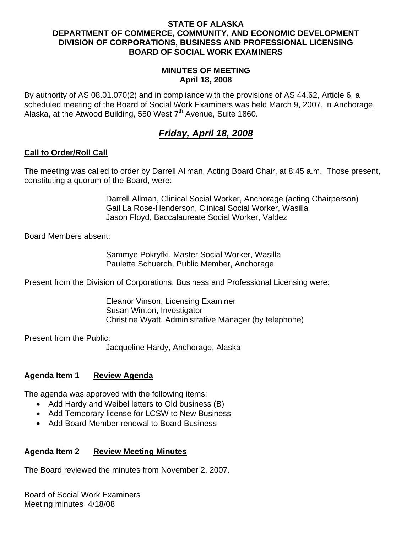#### **STATE OF ALASKA DEPARTMENT OF COMMERCE, COMMUNITY, AND ECONOMIC DEVELOPMENT DIVISION OF CORPORATIONS, BUSINESS AND PROFESSIONAL LICENSING BOARD OF SOCIAL WORK EXAMINERS**

#### **MINUTES OF MEETING April 18, 2008**

By authority of AS 08.01.070(2) and in compliance with the provisions of AS 44.62, Article 6, a scheduled meeting of the Board of Social Work Examiners was held March 9, 2007, in Anchorage, Alaska, at the Atwood Building, 550 West  $7<sup>th</sup>$  Avenue, Suite 1860.

# *Friday, April 18, 2008*

## **Call to Order/Roll Call**

The meeting was called to order by Darrell Allman, Acting Board Chair, at 8:45 a.m. Those present, constituting a quorum of the Board, were:

> Darrell Allman, Clinical Social Worker, Anchorage (acting Chairperson) Gail La Rose-Henderson, Clinical Social Worker, Wasilla Jason Floyd, Baccalaureate Social Worker, Valdez

Board Members absent:

 Sammye Pokryfki, Master Social Worker, Wasilla Paulette Schuerch, Public Member, Anchorage

Present from the Division of Corporations, Business and Professional Licensing were:

 Eleanor Vinson, Licensing Examiner Susan Winton, Investigator Christine Wyatt, Administrative Manager (by telephone)

Present from the Public:

Jacqueline Hardy, Anchorage, Alaska

## **Agenda Item 1 Review Agenda**

The agenda was approved with the following items:

- Add Hardy and Weibel letters to Old business (B)
- Add Temporary license for LCSW to New Business
- Add Board Member renewal to Board Business

## **Agenda Item 2 Review Meeting Minutes**

The Board reviewed the minutes from November 2, 2007.

Board of Social Work Examiners Meeting minutes 4/18/08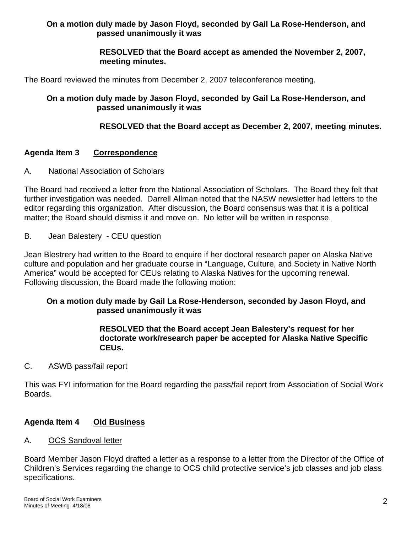## **On a motion duly made by Jason Floyd, seconded by Gail La Rose-Henderson, and passed unanimously it was**

## **RESOLVED that the Board accept as amended the November 2, 2007, meeting minutes.**

The Board reviewed the minutes from December 2, 2007 teleconference meeting.

## **On a motion duly made by Jason Floyd, seconded by Gail La Rose-Henderson, and passed unanimously it was**

## **RESOLVED that the Board accept as December 2, 2007, meeting minutes.**

## **Agenda Item 3 Correspondence**

#### A. National Association of Scholars

The Board had received a letter from the National Association of Scholars. The Board they felt that further investigation was needed. Darrell Allman noted that the NASW newsletter had letters to the editor regarding this organization. After discussion, the Board consensus was that it is a political matter; the Board should dismiss it and move on. No letter will be written in response.

#### B. Jean Balestery - CEU question

Jean Blestrery had written to the Board to enquire if her doctoral research paper on Alaska Native culture and population and her graduate course in "Language, Culture, and Society in Native North America" would be accepted for CEUs relating to Alaska Natives for the upcoming renewal. Following discussion, the Board made the following motion:

## **On a motion duly made by Gail La Rose-Henderson, seconded by Jason Floyd, and passed unanimously it was**

#### **RESOLVED that the Board accept Jean Balestery's request for her doctorate work/research paper be accepted for Alaska Native Specific CEUs.**

#### C. ASWB pass/fail report

This was FYI information for the Board regarding the pass/fail report from Association of Social Work Boards.

#### **Agenda Item 4 Old Business**

#### A. OCS Sandoval letter

Board Member Jason Floyd drafted a letter as a response to a letter from the Director of the Office of Children's Services regarding the change to OCS child protective service's job classes and job class specifications.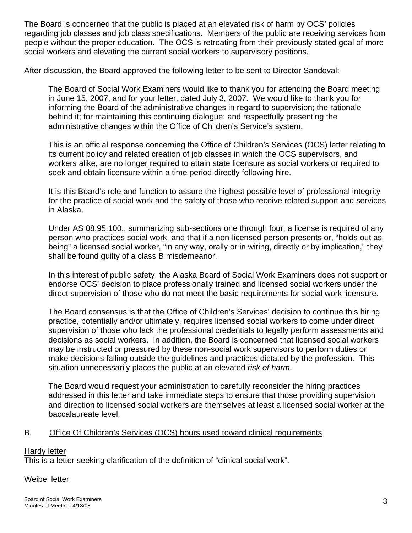The Board is concerned that the public is placed at an elevated risk of harm by OCS' policies regarding job classes and job class specifications. Members of the public are receiving services from people without the proper education. The OCS is retreating from their previously stated goal of more social workers and elevating the current social workers to supervisory positions.

After discussion, the Board approved the following letter to be sent to Director Sandoval:

The Board of Social Work Examiners would like to thank you for attending the Board meeting in June 15, 2007, and for your letter, dated July 3, 2007. We would like to thank you for informing the Board of the administrative changes in regard to supervision; the rationale behind it; for maintaining this continuing dialogue; and respectfully presenting the administrative changes within the Office of Children's Service's system.

This is an official response concerning the Office of Children's Services (OCS) letter relating to its current policy and related creation of job classes in which the OCS supervisors, and workers alike, are no longer required to attain state licensure as social workers or required to seek and obtain licensure within a time period directly following hire.

It is this Board's role and function to assure the highest possible level of professional integrity for the practice of social work and the safety of those who receive related support and services in Alaska.

Under AS 08.95.100., summarizing sub-sections one through four, a license is required of any person who practices social work, and that if a non-licensed person presents or, "holds out as being" a licensed social worker, "in any way, orally or in wiring, directly or by implication," they shall be found guilty of a class B misdemeanor.

In this interest of public safety, the Alaska Board of Social Work Examiners does not support or endorse OCS' decision to place professionally trained and licensed social workers under the direct supervision of those who do not meet the basic requirements for social work licensure.

The Board consensus is that the Office of Children's Services' decision to continue this hiring practice, potentially and/or ultimately, requires licensed social workers to come under direct supervision of those who lack the professional credentials to legally perform assessments and decisions as social workers. In addition, the Board is concerned that licensed social workers may be instructed or pressured by these non-social work supervisors to perform duties or make decisions falling outside the guidelines and practices dictated by the profession. This situation unnecessarily places the public at an elevated *risk of harm*.

The Board would request your administration to carefully reconsider the hiring practices addressed in this letter and take immediate steps to ensure that those providing supervision and direction to licensed social workers are themselves at least a licensed social worker at the baccalaureate level.

## B. Office Of Children's Services (OCS) hours used toward clinical requirements

#### **Hardy letter**

This is a letter seeking clarification of the definition of "clinical social work".

#### Weibel letter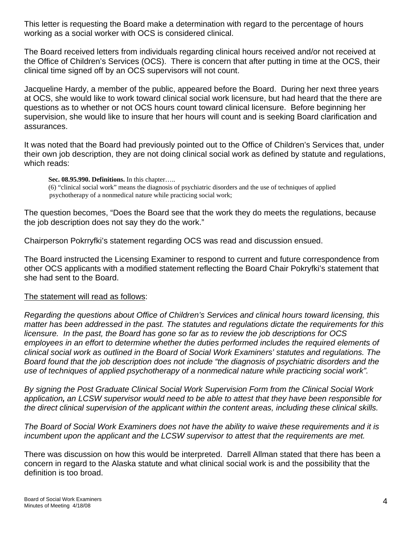This letter is requesting the Board make a determination with regard to the percentage of hours working as a social worker with OCS is considered clinical.

The Board received letters from individuals regarding clinical hours received and/or not received at the Office of Children's Services (OCS). There is concern that after putting in time at the OCS, their clinical time signed off by an OCS supervisors will not count.

Jacqueline Hardy, a member of the public, appeared before the Board. During her next three years at OCS, she would like to work toward clinical social work licensure, but had heard that the there are questions as to whether or not OCS hours count toward clinical licensure. Before beginning her supervision, she would like to insure that her hours will count and is seeking Board clarification and assurances.

It was noted that the Board had previously pointed out to the Office of Children's Services that, under their own job description, they are not doing clinical social work as defined by statute and regulations, which reads:

**Sec. 08.95.990. Definitions.** In this chapter…..

(6) "clinical social work" means the diagnosis of psychiatric disorders and the use of techniques of applied psychotherapy of a nonmedical nature while practicing social work;

The question becomes, "Does the Board see that the work they do meets the regulations, because the job description does not say they do the work."

Chairperson Pokrryfki's statement regarding OCS was read and discussion ensued.

The Board instructed the Licensing Examiner to respond to current and future correspondence from other OCS applicants with a modified statement reflecting the Board Chair Pokryfki's statement that she had sent to the Board.

#### The statement will read as follows:

*Regarding the questions about Office of Children's Services and clinical hours toward licensing, this matter has been addressed in the past. The statutes and regulations dictate the requirements for this licensure. In the past, the Board has gone so far as to review the job descriptions for OCS*  employees in an effort to determine whether the duties performed includes the required elements of *clinical social work as outlined in the Board of Social Work Examiners' statutes and regulations. The Board found that the job description does not include "the diagnosis of psychiatric disorders and the use of techniques of applied psychotherapy of a nonmedical nature while practicing social work".* 

*By signing the Post Graduate Clinical Social Work Supervision Form from the Clinical Social Work application, an LCSW supervisor would need to be able to attest that they have been responsible for the direct clinical supervision of the applicant within the content areas, including these clinical skills.* 

*The Board of Social Work Examiners does not have the ability to waive these requirements and it is incumbent upon the applicant and the LCSW supervisor to attest that the requirements are met.* 

There was discussion on how this would be interpreted. Darrell Allman stated that there has been a concern in regard to the Alaska statute and what clinical social work is and the possibility that the definition is too broad.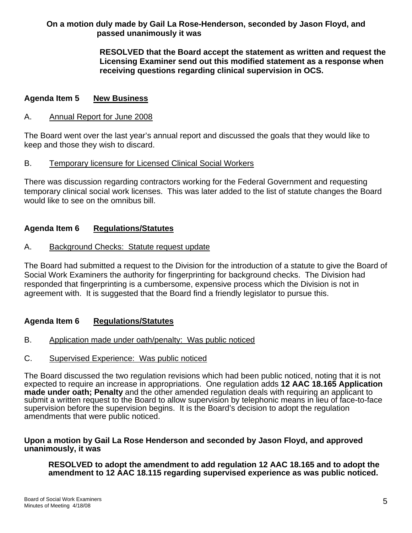## **On a motion duly made by Gail La Rose-Henderson, seconded by Jason Floyd, and passed unanimously it was**

 **RESOLVED that the Board accept the statement as written and request the Licensing Examiner send out this modified statement as a response when receiving questions regarding clinical supervision in OCS.** 

#### **Agenda Item 5 New Business**

#### A. Annual Report for June 2008

The Board went over the last year's annual report and discussed the goals that they would like to keep and those they wish to discard.

#### B. Temporary licensure for Licensed Clinical Social Workers

There was discussion regarding contractors working for the Federal Government and requesting temporary clinical social work licenses. This was later added to the list of statute changes the Board would like to see on the omnibus bill.

#### **Agenda Item 6 Regulations/Statutes**

#### A. Background Checks: Statute request update

The Board had submitted a request to the Division for the introduction of a statute to give the Board of Social Work Examiners the authority for fingerprinting for background checks. The Division had responded that fingerprinting is a cumbersome, expensive process which the Division is not in agreement with. It is suggested that the Board find a friendly legislator to pursue this.

#### **Agenda Item 6 Regulations/Statutes**

- B. Application made under oath/penalty: Was public noticed
- C. Supervised Experience: Was public noticed

The Board discussed the two regulation revisions which had been public noticed, noting that it is not expected to require an increase in appropriations. One regulation adds **12 AAC 18.165 Application made under oath; Penalty** and the other amended regulation deals with requiring an applicant to submit a written request to the Board to allow supervision by telephonic means in lieu of face-to-face supervision before the supervision begins. It is the Board's decision to adopt the regulation amendments that were public noticed.

#### **Upon a motion by Gail La Rose Henderson and seconded by Jason Floyd, and approved unanimously, it was**

**RESOLVED to adopt the amendment to add regulation 12 AAC 18.165 and to adopt the amendment to 12 AAC 18.115 regarding supervised experience as was public noticed.**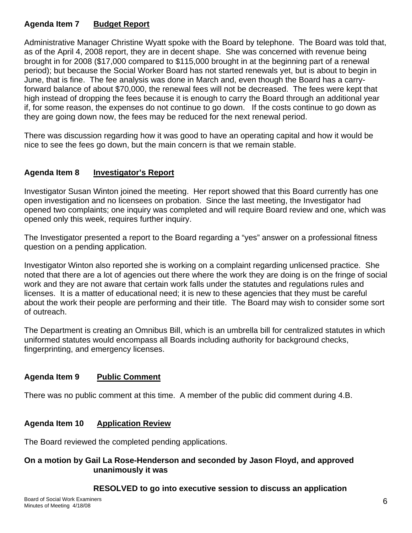## **Agenda Item 7 Budget Report**

Administrative Manager Christine Wyatt spoke with the Board by telephone. The Board was told that, as of the April 4, 2008 report, they are in decent shape. She was concerned with revenue being brought in for 2008 (\$17,000 compared to \$115,000 brought in at the beginning part of a renewal period); but because the Social Worker Board has not started renewals yet, but is about to begin in June, that is fine. The fee analysis was done in March and, even though the Board has a carryforward balance of about \$70,000, the renewal fees will not be decreased. The fees were kept that high instead of dropping the fees because it is enough to carry the Board through an additional year if, for some reason, the expenses do not continue to go down. If the costs continue to go down as they are going down now, the fees may be reduced for the next renewal period.

There was discussion regarding how it was good to have an operating capital and how it would be nice to see the fees go down, but the main concern is that we remain stable.

## **Agenda Item 8 Investigator's Report**

Investigator Susan Winton joined the meeting. Her report showed that this Board currently has one open investigation and no licensees on probation. Since the last meeting, the Investigator had opened two complaints; one inquiry was completed and will require Board review and one, which was opened only this week, requires further inquiry.

The Investigator presented a report to the Board regarding a "yes" answer on a professional fitness question on a pending application.

Investigator Winton also reported she is working on a complaint regarding unlicensed practice. She noted that there are a lot of agencies out there where the work they are doing is on the fringe of social work and they are not aware that certain work falls under the statutes and regulations rules and licenses. It is a matter of educational need; it is new to these agencies that they must be careful about the work their people are performing and their title. The Board may wish to consider some sort of outreach.

The Department is creating an Omnibus Bill, which is an umbrella bill for centralized statutes in which uniformed statutes would encompass all Boards including authority for background checks, fingerprinting, and emergency licenses.

## **Agenda Item 9 Public Comment**

There was no public comment at this time. A member of the public did comment during 4.B.

## **Agenda Item 10 Application Review**

The Board reviewed the completed pending applications.

#### **On a motion by Gail La Rose-Henderson and seconded by Jason Floyd, and approved unanimously it was**

#### **RESOLVED to go into executive session to discuss an application**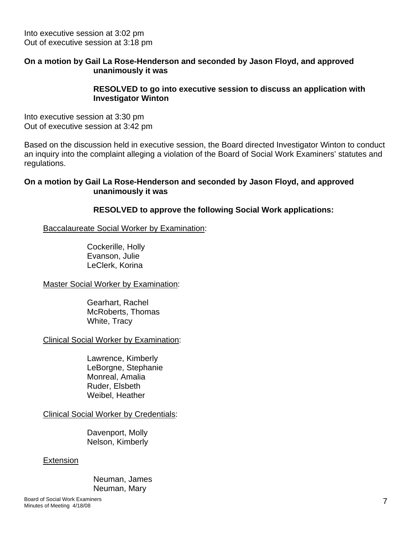Into executive session at 3:02 pm Out of executive session at 3:18 pm

#### **On a motion by Gail La Rose-Henderson and seconded by Jason Floyd, and approved unanimously it was**

#### **RESOLVED to go into executive session to discuss an application with Investigator Winton**

Into executive session at 3:30 pm Out of executive session at 3:42 pm

Based on the discussion held in executive session, the Board directed Investigator Winton to conduct an inquiry into the complaint alleging a violation of the Board of Social Work Examiners' statutes and regulations.

#### **On a motion by Gail La Rose-Henderson and seconded by Jason Floyd, and approved unanimously it was**

 **RESOLVED to approve the following Social Work applications:** 

Baccalaureate Social Worker by Examination:

 Cockerille, Holly Evanson, Julie LeClerk, Korina

Master Social Worker by Examination:

 Gearhart, Rachel McRoberts, Thomas White, Tracy

Clinical Social Worker by Examination:

 Lawrence, Kimberly LeBorgne, Stephanie Monreal, Amalia Ruder, Elsbeth Weibel, Heather

Clinical Social Worker by Credentials:

Davenport, Molly Nelson, Kimberly

#### **Extension**

 Neuman, James Neuman, Mary

Board of Social Work Examiners Minutes of Meeting 4/18/08 7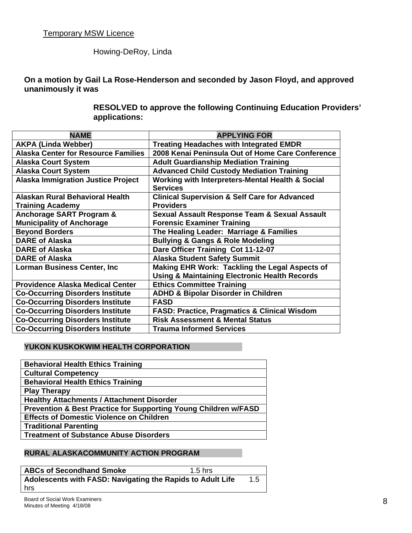## Howing-DeRoy, Linda

**On a motion by Gail La Rose-Henderson and seconded by Jason Floyd, and approved unanimously it was** 

> **RESOLVED to approve the following Continuing Education Providers' applications:**

| <b>NAME</b>                                | <b>APPLYING FOR</b>                                      |
|--------------------------------------------|----------------------------------------------------------|
| <b>AKPA (Linda Webber)</b>                 | <b>Treating Headaches with Integrated EMDR</b>           |
| <b>Alaska Center for Resource Families</b> | 2008 Kenai Peninsula Out of Home Care Conference         |
| <b>Alaska Court System</b>                 | <b>Adult Guardianship Mediation Training</b>             |
| <b>Alaska Court System</b>                 | <b>Advanced Child Custody Mediation Training</b>         |
| <b>Alaska Immigration Justice Project</b>  | Working with Interpreters-Mental Health & Social         |
|                                            | <b>Services</b>                                          |
| <b>Alaskan Rural Behavioral Health</b>     | <b>Clinical Supervision &amp; Self Care for Advanced</b> |
| <b>Training Academy</b>                    | <b>Providers</b>                                         |
| <b>Anchorage SART Program &amp;</b>        | <b>Sexual Assault Response Team &amp; Sexual Assault</b> |
| <b>Municipality of Anchorage</b>           | <b>Forensic Examiner Training</b>                        |
| <b>Beyond Borders</b>                      | The Healing Leader: Marriage & Families                  |
| <b>DARE of Alaska</b>                      | <b>Bullying &amp; Gangs &amp; Role Modeling</b>          |
| <b>DARE of Alaska</b>                      | Dare Officer Training Cot 11-12-07                       |
| <b>DARE of Alaska</b>                      | <b>Alaska Student Safety Summit</b>                      |
| <b>Lorman Business Center, Inc</b>         | Making EHR Work: Tackling the Legal Aspects of           |
|                                            | <b>Using &amp; Maintaining Electronic Health Records</b> |
| <b>Providence Alaska Medical Center</b>    | <b>Ethics Committee Training</b>                         |
| <b>Co-Occurring Disorders Institute</b>    | <b>ADHD &amp; Bipolar Disorder in Children</b>           |
| <b>Co-Occurring Disorders Institute</b>    | <b>FASD</b>                                              |
| <b>Co-Occurring Disorders Institute</b>    | <b>FASD: Practice, Pragmatics &amp; Clinical Wisdom</b>  |
| <b>Co-Occurring Disorders Institute</b>    | <b>Risk Assessment &amp; Mental Status</b>               |
| <b>Co-Occurring Disorders Institute</b>    | <b>Trauma Informed Services</b>                          |

#### **YUKON KUSKOKWIM HEALTH CORPORATION**

#### **RURAL ALASKACOMMUNITY ACTION PROGRAM**

**ABCs of Secondhand Smoke** 1.5 hrs **Adolescents with FASD: Navigating the Rapids to Adult Life** 1.5 hrs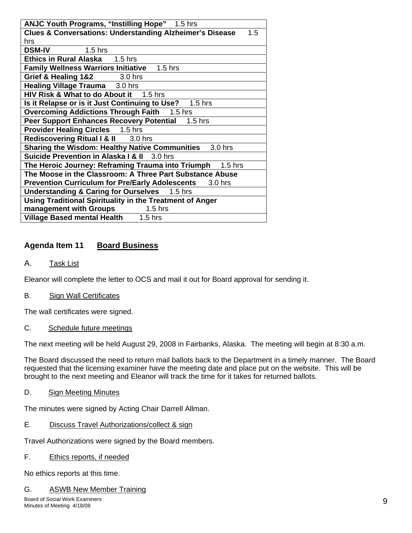| <b>ANJC Youth Programs, "Instilling Hope"</b> 1.5 hrs                      |  |
|----------------------------------------------------------------------------|--|
| <b>Clues &amp; Conversations: Understanding Alzheimer's Disease</b><br>1.5 |  |
| hrs                                                                        |  |
| <b>DSM-IV</b> 1.5 hrs                                                      |  |
| Ethics in Rural Alaska 1.5 hrs                                             |  |
| <b>Family Wellness Warriors Initiative 1.5 hrs</b>                         |  |
| Grief & Healing 1&2 3.0 hrs                                                |  |
| Healing Village Trauma 3.0 hrs                                             |  |
| HIV Risk & What to do About it 1.5 hrs                                     |  |
| Is it Relapse or is it Just Continuing to Use? 1.5 hrs                     |  |
| Overcoming Addictions Through Faith 1.5 hrs                                |  |
| Peer Support Enhances Recovery Potential 1.5 hrs                           |  |
| <b>Provider Healing Circles</b> 1.5 hrs                                    |  |
| Rediscovering Ritual I & II 3.0 hrs                                        |  |
| <b>Sharing the Wisdom: Healthy Native Communities</b><br>3.0 hrs           |  |
| Suicide Prevention in Alaska I & II 3.0 hrs                                |  |
| The Heroic Journey: Reframing Trauma into Triumph 1.5 hrs                  |  |
| The Moose in the Classroom: A Three Part Substance Abuse                   |  |
| <b>Prevention Curriculum for Pre/Early Adolescents</b><br>3.0 hrs          |  |
| <b>Understanding &amp; Caring for Ourselves</b> 1.5 hrs                    |  |
| Using Traditional Spirituality in the Treatment of Anger                   |  |
| management with Groups<br>$1.5$ hrs                                        |  |
| Village Based mental Health 1.5 hrs                                        |  |

## **Agenda Item 11 Board Business**

A. Task List

Eleanor will complete the letter to OCS and mail it out for Board approval for sending it.

B. Sign Wall Certificates

The wall certificates were signed.

C. Schedule future meetings

The next meeting will be held August 29, 2008 in Fairbanks, Alaska. The meeting will begin at 8:30 a.m.

The Board discussed the need to return mail ballots back to the Department in a timely manner. The Board requested that the licensing examiner have the meeting date and place put on the website. This will be brought to the next meeting and Eleanor will track the time for it takes for returned ballots.

D. Sign Meeting Minutes

The minutes were signed by Acting Chair Darrell Allman.

E. Discuss Travel Authorizations/collect & sign

Travel Authorizations were signed by the Board members.

F. Ethics reports, if needed

No ethics reports at this time.

G. ASWB New Member Training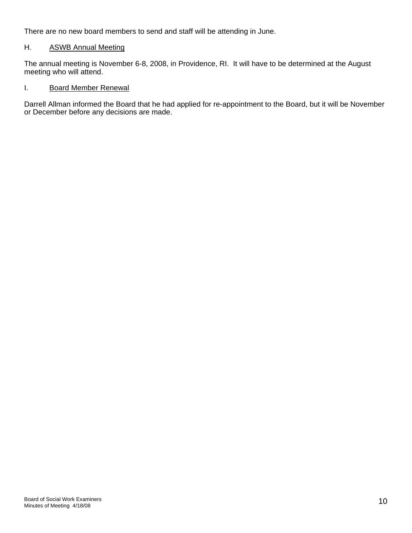There are no new board members to send and staff will be attending in June.

#### H. ASWB Annual Meeting

The annual meeting is November 6-8, 2008, in Providence, RI. It will have to be determined at the August meeting who will attend.

#### I. Board Member Renewal

Darrell Allman informed the Board that he had applied for re-appointment to the Board, but it will be November or December before any decisions are made.